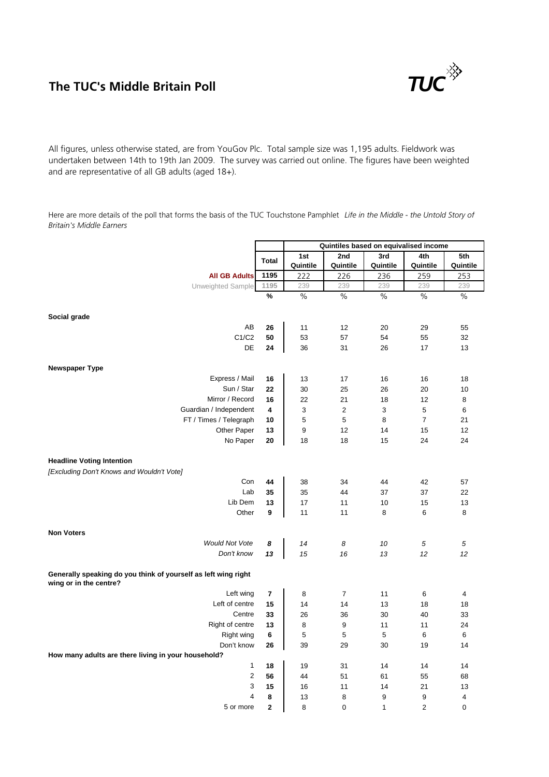## **The TUC's Middle Britain Poll**



All figures, unless otherwise stated, are from YouGov Plc. Total sample size was 1,195 adults. Fieldwork was undertaken between 14th to 19th Jan 2009. The survey was carried out online. The figures have been weighted and are representative of all GB adults (aged 18+).

Here are more details of the poll that forms the basis of the TUC Touchstone Pamphlet *Life in the Middle - the Untold Story of Britain's Middle Earners*

|                                                                |              | Quintiles based on equivalised income |                |              |          |                |  |
|----------------------------------------------------------------|--------------|---------------------------------------|----------------|--------------|----------|----------------|--|
|                                                                | <b>Total</b> | 1st                                   | 2nd            | 3rd          | 4th      | 5th            |  |
|                                                                |              | Quintile                              | Quintile       | Quintile     | Quintile | Quintile       |  |
| <b>All GB Adults</b>                                           | 1195         | 222                                   | 226            | 236          | 259      | 253            |  |
| Unweighted Sample                                              | 1195         | 239                                   | 239            | 239          | 239      | 239            |  |
|                                                                | %            | $\frac{0}{0}$                         | $\frac{0}{0}$  | %            | $\%$     | $\%$           |  |
|                                                                |              |                                       |                |              |          |                |  |
| Social grade                                                   |              |                                       |                |              |          |                |  |
| AB                                                             | 26           | 11                                    | 12             | 20           | 29       | 55             |  |
| C1/C2<br><b>DE</b>                                             | 50<br>24     | 53                                    | 57<br>31       | 54           | 55       | 32             |  |
|                                                                |              | 36                                    |                | 26           | 17       | 13             |  |
| Newspaper Type                                                 |              |                                       |                |              |          |                |  |
| Express / Mail                                                 | 16           | 13                                    | 17             | 16           | 16       | 18             |  |
| Sun / Star                                                     | 22           | 30                                    | 25             | 26           | 20       | 10             |  |
| Mirror / Record                                                | 16           | 22                                    | 21             | 18           | 12       | 8              |  |
| Guardian / Independent                                         | 4            | 3                                     | $\overline{c}$ | 3            | 5        | 6              |  |
| FT / Times / Telegraph                                         | 10           | 5                                     | 5              | 8            | 7        | 21             |  |
| Other Paper                                                    | 13           | 9                                     | 12             | 14           | 15       | 12             |  |
| No Paper                                                       | 20           | 18                                    | 18             | 15           | 24       | 24             |  |
|                                                                |              |                                       |                |              |          |                |  |
| <b>Headline Voting Intention</b>                               |              |                                       |                |              |          |                |  |
| [Excluding Don't Knows and Wouldn't Vote]                      |              |                                       |                |              |          |                |  |
| Con                                                            | 44           | 38                                    | 34             | 44           | 42       | 57             |  |
| Lab                                                            | 35           | 35                                    | 44             | 37           | 37       | 22             |  |
| Lib Dem                                                        | 13           | 17                                    | 11             | 10           | 15       | 13             |  |
| Other                                                          | 9            | 11                                    | 11             | 8            | 6        | 8              |  |
|                                                                |              |                                       |                |              |          |                |  |
| <b>Non Voters</b>                                              |              |                                       |                |              |          |                |  |
| <b>Would Not Vote</b>                                          | 8            | 14                                    | 8              | 10           | 5        | 5              |  |
| Don't know                                                     | 13           | 15                                    | 16             | 13           | 12       | 12             |  |
|                                                                |              |                                       |                |              |          |                |  |
| Generally speaking do you think of yourself as left wing right |              |                                       |                |              |          |                |  |
| wing or in the centre?                                         |              |                                       |                |              |          |                |  |
| Left wing                                                      | 7            | 8                                     | $\overline{7}$ | 11           | 6        | $\overline{4}$ |  |
| Left of centre                                                 | 15           | 14                                    | 14             | 13           | 18       | 18             |  |
| Centre                                                         | 33           | 26                                    | 36             | 30           | 40       | 33             |  |
| Right of centre                                                | 13           | 8                                     | 9              | 11           | 11       | 24             |  |
| Right wing                                                     | 6            | 5                                     | 5              | 5            | 6        | 6              |  |
| Don't know                                                     | 26           | 39                                    | 29             | 30           | 19       | 14             |  |
| How many adults are there living in your household?<br>1       |              |                                       |                | 14           | 14       | 14             |  |
| $\overline{2}$                                                 | 18<br>56     | 19<br>44                              | 31<br>51       | 61           | 55       | 68             |  |
| 3                                                              | 15           | 16                                    | 11             | 14           | 21       | 13             |  |
| $\overline{4}$                                                 | 8            | 13                                    | 8              | 9            | 9        | 4              |  |
| 5 or more                                                      | $\mathbf 2$  | 8                                     | 0              | $\mathbf{1}$ | 2        | $\mathbf 0$    |  |
|                                                                |              |                                       |                |              |          |                |  |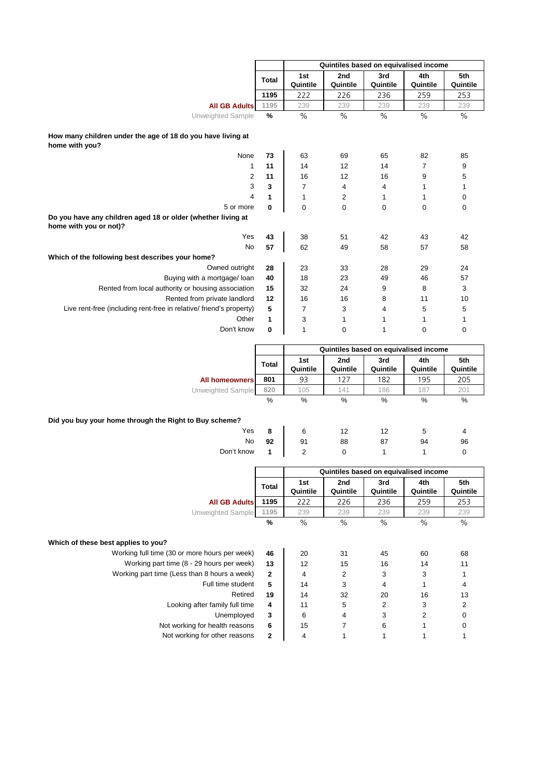|                                                                                        |              | Quintiles based on equivalised income |                 |                 |                 |                 |  |
|----------------------------------------------------------------------------------------|--------------|---------------------------------------|-----------------|-----------------|-----------------|-----------------|--|
|                                                                                        | <b>Total</b> | 1st<br>Quintile                       | 2nd<br>Quintile | 3rd<br>Quintile | 4th<br>Quintile | 5th<br>Quintile |  |
|                                                                                        | 1195         | 222                                   | 226             | 236             | 259             | 253             |  |
| <b>All GB Adults</b>                                                                   | 1195         | 239                                   | 239             | 239             | 239             | 239             |  |
| Unweighted Sample                                                                      | $\%$         | $\frac{0}{0}$                         | $\%$            | $\%$            | $\%$            | $\%$            |  |
| How many children under the age of 18 do you have living at<br>home with you?          |              |                                       |                 |                 |                 |                 |  |
| None                                                                                   | 73           | 63                                    | 69              | 65              | 82              | 85              |  |
| 1                                                                                      | 11           | 14                                    | 12              | 14              | 7               | 9               |  |
| 2                                                                                      | 11           | 16                                    | 12              | 16              | 9               | 5               |  |
| 3                                                                                      | 3            | $\overline{7}$                        | 4               | 4               | 1               | 1               |  |
| 4                                                                                      | 1            | 1                                     | 2               | 1               | 1               | 0               |  |
| 5 or more                                                                              | $\bf{0}$     | $\mathbf 0$                           | $\mathbf 0$     | $\mathbf 0$     | $\Omega$        | 0               |  |
| Do you have any children aged 18 or older (whether living at<br>home with you or not)? |              |                                       |                 |                 |                 |                 |  |
| Yes                                                                                    | 43           | 38                                    | 51              | 42              | 43              | 42              |  |
| No                                                                                     | 57           | 62                                    | 49              | 58              | 57              | 58              |  |
| Which of the following best describes your home?                                       |              |                                       |                 |                 |                 |                 |  |
| Owned outright                                                                         | 28           | 23                                    | 33              | 28              | 29              | 24              |  |
| Buying with a mortgage/ loan                                                           | 40           | 18                                    | 23              | 49              | 46              | 57              |  |
| Rented from local authority or housing association                                     | 15           | 32                                    | 24              | 9               | 8               | 3               |  |
| Rented from private landlord                                                           | 12           | 16                                    | 16              | 8               | 11              | 10              |  |
| Live rent-free (including rent-free in relative/ friend's property)                    | 5            | 7                                     | 3               | 4               | 5               | 5               |  |
| Other                                                                                  | 1            | 3                                     | 1               | 1               | 1               |                 |  |
| Don't know                                                                             | 0            | 1                                     | $\mathbf 0$     | 1               | $\mathbf 0$     | $\mathbf 0$     |  |

|                       |       | Quintiles based on equivalised income |          |          |          |          |  |  |
|-----------------------|-------|---------------------------------------|----------|----------|----------|----------|--|--|
|                       | Total | 1st                                   | 2nd      | 3rd      | 4th      | 5th      |  |  |
|                       |       | Quintile                              | Quintile | Quintile | Quintile | Quintile |  |  |
| <b>All homeowners</b> | 801   | 93                                    | 127      | 182      | 195      | 205      |  |  |
| Unweighted Sample     | 820   | 105                                   | 141      | 186      | 187      | 201      |  |  |
|                       | %     | $\%$                                  | $\%$     | %        | %        | %        |  |  |

## **Did you buy your home through the Right to Buy scheme?**

| Yes 8        |    |    |  |    |    |
|--------------|----|----|--|----|----|
| No           | 92 | 91 |  | 94 | 96 |
| Don't know 1 |    |    |  |    |    |

|                                               |               | Quintiles based on equivalised income |                 |                 |                 |                 |  |
|-----------------------------------------------|---------------|---------------------------------------|-----------------|-----------------|-----------------|-----------------|--|
|                                               | <b>Total</b>  | 1st<br>Quintile                       | 2nd<br>Quintile | 3rd<br>Quintile | 4th<br>Quintile | 5th<br>Quintile |  |
| <b>All GB Adults</b>                          | 1195          | 222                                   | 226             | 236             | 259             | 253             |  |
| Unweighted Sample                             | 1195          | 239                                   | 239             | 239             | 239             | 239             |  |
|                                               | $\frac{9}{6}$ | $\%$                                  | $\frac{0}{0}$   | $\%$            | $\frac{0}{0}$   | $\frac{0}{0}$   |  |
| Which of these best applies to you?           |               |                                       |                 |                 |                 |                 |  |
| Working full time (30 or more hours per week) | 46            | 20                                    | 31              | 45              | 60              | 68              |  |
| Working part time (8 - 29 hours per week)     | 13            | 12                                    | 15              | 16              | 14              | 11              |  |
| Working part time (Less than 8 hours a week)  | $\mathbf{2}$  | 4                                     | 2               | 3               | 3               |                 |  |
| Full time student                             | 5             | 14                                    | 3               | 4               |                 | 4               |  |
| Retired                                       | 19            | 14                                    | 32              | 20              | 16              | 13              |  |
| Looking after family full time                | 4             | 11                                    | 5               | 2               | 3               | $\overline{2}$  |  |
| Unemployed                                    | 3             | 6                                     | 4               | 3               | 2               | 0               |  |
| Not working for health reasons                | 6             | 15                                    | 7               | 6               |                 | 0               |  |
| Not working for other reasons                 | $\mathbf{2}$  | 4                                     |                 |                 |                 |                 |  |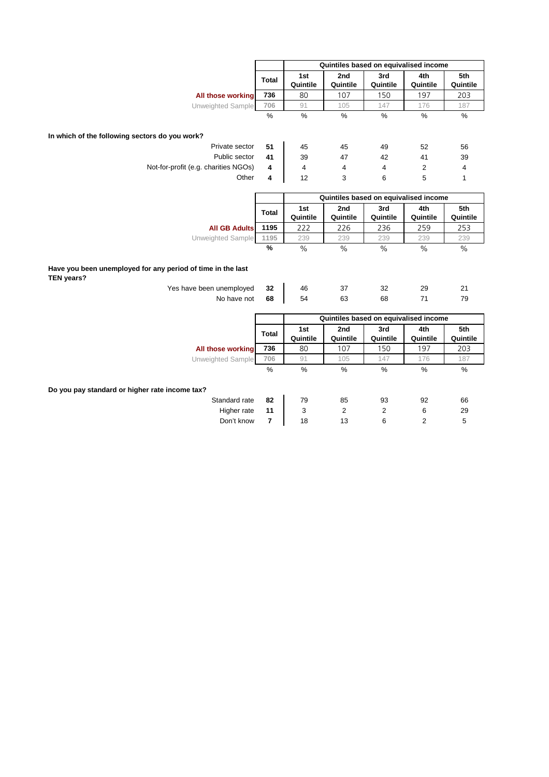|                                                                                  |              |                                       |          |          | Quintiles based on equivalised income |          |  |
|----------------------------------------------------------------------------------|--------------|---------------------------------------|----------|----------|---------------------------------------|----------|--|
|                                                                                  | Total        | 1st                                   | 2nd      | 3rd      | 4th                                   | 5th      |  |
|                                                                                  |              | Quintile                              | Quintile | Quintile | Quintile                              | Quintile |  |
| All those working                                                                | 736          | 80                                    | 107      | 150      | 197                                   | 203      |  |
| Unweighted Sample                                                                | 706          | 91                                    | 105      | 147      | 176                                   | 187      |  |
|                                                                                  | $\%$         | %                                     | $\%$     | %        | $\%$                                  | $\%$     |  |
| In which of the following sectors do you work?                                   |              |                                       |          |          |                                       |          |  |
| Private sector                                                                   | 51           | 45                                    | 45       | 49       | 52                                    | 56       |  |
| Public sector                                                                    | 41           | 39                                    | 47       | 42       | 41                                    | 39       |  |
| Not-for-profit (e.g. charities NGOs)                                             | 4            | 4                                     | 4        | 4        | $\overline{2}$                        | 4        |  |
| Other                                                                            | 4            | 12                                    | 3        | 6        | 5                                     | 1        |  |
|                                                                                  |              | Quintiles based on equivalised income |          |          |                                       |          |  |
|                                                                                  | <b>Total</b> | 1st                                   | 2nd      | 3rd      | 4th                                   | 5th      |  |
|                                                                                  |              | Quintile                              | Quintile | Quintile | Quintile                              | Quintile |  |
| <b>All GB Adults</b>                                                             | 1195         | 222                                   | 226      | 236      | 259                                   | 253      |  |
| Unweighted Sample                                                                | 1195         | 239                                   | 239      | 239      | 239                                   | 239      |  |
|                                                                                  | $\%$         | $\%$                                  | $\%$     | $\%$     | $\%$                                  | $\%$     |  |
| Have you been unemployed for any period of time in the last<br><b>TEN years?</b> |              |                                       |          |          |                                       |          |  |
| Yes have been unemployed                                                         | 32           | 46                                    | 37       | 32       | 29                                    | 21       |  |
| No have not                                                                      |              |                                       |          |          |                                       |          |  |
|                                                                                  | 68           | 54                                    | 63       | 68       | 71                                    | 79       |  |
|                                                                                  |              |                                       |          |          | Quintiles based on equivalised income |          |  |

|                                                | <b>Total</b> | 1st<br>Quintile | 2nd<br>Quintile | 3rd<br>Quintile | 4th<br>Quintile | 5th<br>Quintile |
|------------------------------------------------|--------------|-----------------|-----------------|-----------------|-----------------|-----------------|
| All those working                              | 736          | 80              | 107             | 150             | 197             | 203             |
| Unweighted Sample                              | 706          | 91              | 105             | 147             | 176             | 187             |
|                                                | %            | %               | %               | %               | %               | %               |
| Do you pay standard or higher rate income tax? |              |                 |                 |                 |                 |                 |
| Standard rate                                  | 82           | 79              | 85              | 93              | 92              | 66              |
| Higher rate                                    | 11           | 3               | 2               | 2               | 6               | 29              |
| Don't know                                     | 7            | 18              | 13              | 6               | 2               | 5               |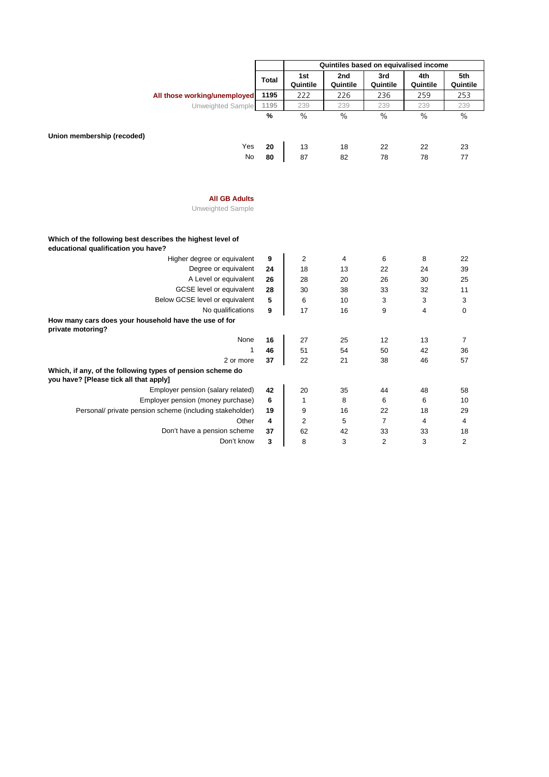|                                                                                                      |       | Quintiles based on equivalised income |               |                |                |                |  |
|------------------------------------------------------------------------------------------------------|-------|---------------------------------------|---------------|----------------|----------------|----------------|--|
|                                                                                                      | Total | 1st                                   | 2nd           | 3rd            | 4th            | 5th            |  |
|                                                                                                      |       | Quintile                              | Quintile      | Quintile       | Quintile       | Quintile       |  |
| All those working/unemployed                                                                         | 1195  | 222                                   | 226           | 236            | 259            | 253            |  |
| Unweighted Sample                                                                                    | 1195  | 239                                   | 239           | 239            | 239            | 239            |  |
|                                                                                                      | $\%$  | $\frac{1}{2}$                         | $\frac{0}{0}$ | $\frac{0}{0}$  | $\%$           | $\%$           |  |
|                                                                                                      |       |                                       |               |                |                |                |  |
| Union membership (recoded)                                                                           |       |                                       |               |                |                |                |  |
| Yes                                                                                                  | 20    | 13                                    | 18            | 22             | 22             | 23             |  |
| No                                                                                                   | 80    | 87                                    | 82            | 78             | 78             | 77             |  |
|                                                                                                      |       |                                       |               |                |                |                |  |
|                                                                                                      |       |                                       |               |                |                |                |  |
| <b>All GB Adults</b>                                                                                 |       |                                       |               |                |                |                |  |
| Unweighted Sample                                                                                    |       |                                       |               |                |                |                |  |
|                                                                                                      |       |                                       |               |                |                |                |  |
| Which of the following best describes the highest level of<br>educational qualification you have?    |       |                                       |               |                |                |                |  |
| Higher degree or equivalent                                                                          | 9     | $\overline{2}$                        | 4             | 6              | 8              | 22             |  |
| Degree or equivalent                                                                                 | 24    | 18                                    | 13            | 22             | 24             | 39             |  |
| A Level or equivalent                                                                                | 26    | 28                                    | 20            | 26             | 30             | 25             |  |
| GCSE level or equivalent                                                                             | 28    | 30                                    | 38            | 33             | 32             | 11             |  |
| Below GCSE level or equivalent                                                                       | 5     | 6                                     | 10            | 3              | 3              | 3              |  |
| No qualifications                                                                                    | 9     | 17                                    | 16            | 9              | 4              | 0              |  |
| How many cars does your household have the use of for<br>private motoring?                           |       |                                       |               |                |                |                |  |
| None                                                                                                 | 16    | 27                                    | 25            | 12             | 13             | $\overline{7}$ |  |
| $\mathbf{1}$                                                                                         | 46    | 51                                    | 54            | 50             | 42             | 36             |  |
| 2 or more                                                                                            | 37    | 22                                    | 21            | 38             | 46             | 57             |  |
| Which, if any, of the following types of pension scheme do<br>you have? [Please tick all that apply] |       |                                       |               |                |                |                |  |
| Employer pension (salary related)                                                                    | 42    | 20                                    | 35            | 44             | 48             | 58             |  |
| Employer pension (money purchase)                                                                    | 6     | 1                                     | 8             | 6              | 6              | 10             |  |
| Personal/ private pension scheme (including stakeholder)                                             | 19    | 9                                     | 16            | 22             | 18             | 29             |  |
| Other                                                                                                | 4     | $\overline{2}$                        | 5             | $\overline{7}$ | $\overline{4}$ | 4              |  |
| Don't have a pension scheme                                                                          | 37    | 62                                    | 42            | 33             | 33             | 18             |  |
| Don't know                                                                                           | 3     | 8                                     | 3             | $\overline{2}$ | 3              | $\overline{2}$ |  |
|                                                                                                      |       |                                       |               |                |                |                |  |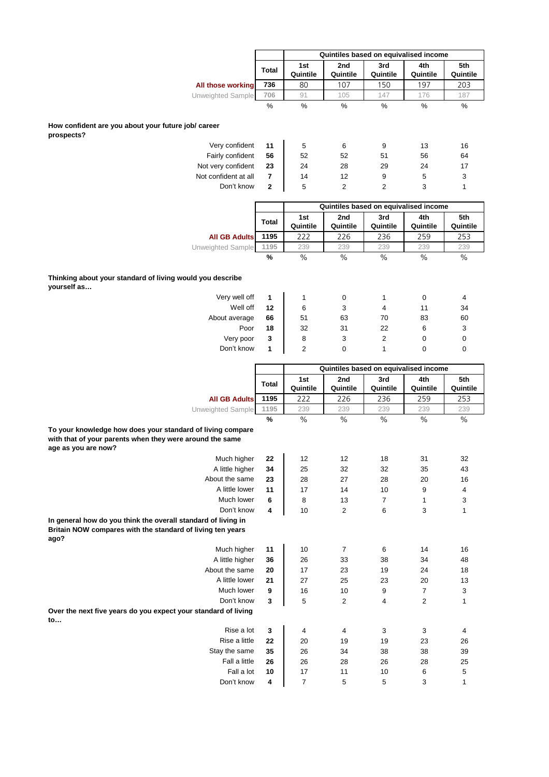|                   |       |                 | Quintiles based on equivalised income |                 |                 |                 |  |  |  |
|-------------------|-------|-----------------|---------------------------------------|-----------------|-----------------|-----------------|--|--|--|
|                   | Total | 1st<br>Quintile | 2nd<br>Quintile                       | 3rd<br>Quintile | 4th<br>Quintile | 5th<br>Quintile |  |  |  |
| All those working | 736   | 80              | 107                                   | 150             | 197             | 203             |  |  |  |
| Unweighted Sample | 706   | 91              | 105                                   | 147             | 176             | 187             |  |  |  |
|                   | %     | %               | $\frac{0}{0}$                         | $\frac{0}{0}$   | $\%$            | $\%$            |  |  |  |

**How confident are you about your future job/ career** 

**prospects?**

| Very confident       | 11 | 5  |    |    | 13 | 16 |
|----------------------|----|----|----|----|----|----|
| Fairly confident     | 56 | 52 | 52 | 51 | 56 | 64 |
| Not very confident   | 23 | 24 | 28 | 29 | 24 |    |
| Not confident at all |    | 14 | 12 |    |    |    |
| Don't know           |    | 5  |    |    |    |    |

|                      |              | Quintiles based on equivalised income |          |          |          |          |  |  |
|----------------------|--------------|---------------------------------------|----------|----------|----------|----------|--|--|
|                      | <b>Total</b> | 1st                                   | 2nd      | 3rd      | 4th      | 5th      |  |  |
|                      |              | Quintile                              | Quintile | Quintile | Quintile | Quintile |  |  |
| <b>All GB Adults</b> | 1195         | 222                                   | 226      | 236      | 259      | 253      |  |  |
| Unweighted Sample    | 1195         | 239                                   | 239      | 239      | 239      | 239      |  |  |
|                      | %            | $\%$                                  | %        | $\%$     | $\%$     | $\%$     |  |  |

## **Thinking about your standard of living would you describe yourself as…**

| Very well off |    |    |    |    |    |    |
|---------------|----|----|----|----|----|----|
| Well off      | 12 | 6  | 3  |    | 11 | 34 |
| About average | 66 | 51 | 63 | 70 | 83 | 60 |
| Poor          | 18 | 32 | 31 | 22 | 6  | 3  |
| Very poor     | 3  | 8  | З  |    |    |    |
| Don't know    |    | っ  |    |    |    |    |

|                                                                                                                                               |               | Quintiles based on equivalised income |                 |                 |                 |                 |  |  |
|-----------------------------------------------------------------------------------------------------------------------------------------------|---------------|---------------------------------------|-----------------|-----------------|-----------------|-----------------|--|--|
|                                                                                                                                               | <b>Total</b>  | 1st<br>Quintile                       | 2nd<br>Quintile | 3rd<br>Quintile | 4th<br>Quintile | 5th<br>Quintile |  |  |
| <b>All GB Adults</b>                                                                                                                          | 1195          | 222                                   | 226             | 236             | 259             | 253             |  |  |
| Unweighted Sample                                                                                                                             | 1195          | 239                                   | 239             | 239             | 239             | 239             |  |  |
|                                                                                                                                               | $\frac{9}{6}$ | $\%$                                  | $\%$            | $\%$            | $\%$            | $\%$            |  |  |
| To your knowledge how does your standard of living compare<br>with that of your parents when they were around the same<br>age as you are now? |               |                                       |                 |                 |                 |                 |  |  |
| Much higher                                                                                                                                   | 22            | 12                                    | 12              | 18              | 31              | 32              |  |  |
| A little higher                                                                                                                               | 34            | 25                                    | 32              | 32              | 35              | 43              |  |  |
| About the same                                                                                                                                | 23            | 28                                    | 27              | 28              | 20              | 16              |  |  |
| A little lower                                                                                                                                | 11            | 17                                    | 14              | 10              | 9               | 4               |  |  |
| Much lower                                                                                                                                    | 6             | 8                                     | 13              | $\overline{7}$  | 1               | 3               |  |  |
| Don't know                                                                                                                                    | 4             | 10                                    | $\overline{2}$  | 6               | 3               | $\mathbf{1}$    |  |  |
| In general how do you think the overall standard of living in<br>Britain NOW compares with the standard of living ten years<br>ago?           |               |                                       |                 |                 |                 |                 |  |  |
| Much higher                                                                                                                                   | 11            | 10                                    | 7               | 6               | 14              | 16              |  |  |
| A little higher                                                                                                                               | 36            | 26                                    | 33              | 38              | 34              | 48              |  |  |
| About the same                                                                                                                                | 20            | 17                                    | 23              | 19              | 24              | 18              |  |  |
| A little lower                                                                                                                                | 21            | 27                                    | 25              | 23              | 20              | 13              |  |  |
| Much lower                                                                                                                                    | 9             | 16                                    | 10              | 9               | $\overline{7}$  | 3               |  |  |
| Don't know<br>Over the next five years do you expect your standard of living                                                                  | 3             | 5                                     | 2               | $\overline{4}$  | 2               | $\mathbf 1$     |  |  |
| to                                                                                                                                            |               |                                       |                 |                 |                 |                 |  |  |
| Rise a lot                                                                                                                                    | 3             | 4                                     | 4               | 3               | 3               | 4               |  |  |
| Rise a little                                                                                                                                 | 22            | 20                                    | 19              | 19              | 23              | 26              |  |  |
| Stay the same                                                                                                                                 | 35            | 26                                    | 34              | 38              | 38              | 39              |  |  |
| Fall a little                                                                                                                                 | 26            | 26                                    | 28              | 26              | 28              | 25              |  |  |
| Fall a lot                                                                                                                                    | 10            | 17                                    | 11              | 10              | 6               | 5               |  |  |
| Don't know                                                                                                                                    | 4             | $\overline{7}$                        | 5               | 5               | 3               | $\mathbf{1}$    |  |  |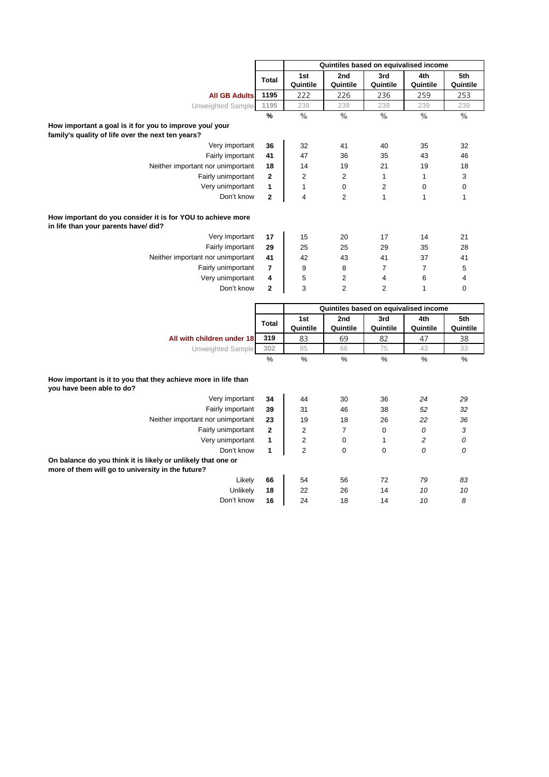|                                                                                                              |                         | Quintiles based on equivalised income                                    |                 |                 |                 |                 |  |  |  |
|--------------------------------------------------------------------------------------------------------------|-------------------------|--------------------------------------------------------------------------|-----------------|-----------------|-----------------|-----------------|--|--|--|
|                                                                                                              | <b>Total</b>            | 1st<br>Quintile                                                          | 2nd<br>Quintile | 3rd<br>Quintile | 4th<br>Quintile | 5th<br>Quintile |  |  |  |
| <b>All GB Adults</b>                                                                                         | 1195                    | 222                                                                      | 226             | 236             | 259             | 253             |  |  |  |
| Unweighted Sample                                                                                            | 1195                    | 239                                                                      | 239             | 239             | 239             | 239             |  |  |  |
|                                                                                                              | %                       | $\%$                                                                     | $\%$            | $\frac{0}{0}$   | $\%$            | $\%$            |  |  |  |
| How important a goal is it for you to improve you/ your<br>family's quality of life over the next ten years? |                         |                                                                          |                 |                 |                 |                 |  |  |  |
| Very important                                                                                               | 36                      | 32                                                                       | 41              | 40              | 35              | 32              |  |  |  |
| Fairly important                                                                                             | 41                      | 47                                                                       | 36              | 35              | 43              | 46              |  |  |  |
| Neither important nor unimportant                                                                            | 18                      | 14                                                                       | 19              | 21              | 19              | 18              |  |  |  |
| Fairly unimportant                                                                                           | $\overline{2}$          | $\overline{\mathbf{c}}$                                                  | $\overline{2}$  | 1               | 1               | 3               |  |  |  |
| Very unimportant                                                                                             | $\mathbf{1}$            | 1                                                                        | $\mathbf 0$     | $\overline{2}$  | 0               | 0               |  |  |  |
| Don't know                                                                                                   | $\overline{\mathbf{2}}$ | 4                                                                        | $\overline{2}$  | 1               | 1               | $\mathbf{1}$    |  |  |  |
| How important do you consider it is for YOU to achieve more<br>in life than your parents have/ did?          |                         |                                                                          |                 |                 |                 |                 |  |  |  |
| Very important                                                                                               | 17                      | 15                                                                       | 20              | 17              | 14              | 21              |  |  |  |
| Fairly important                                                                                             | 29                      | 25                                                                       | 25              | 29              | 35              | 28              |  |  |  |
| Neither important nor unimportant                                                                            | 41                      | 42                                                                       | 43              | 41              | 37              | 41              |  |  |  |
| Fairly unimportant                                                                                           | $\overline{7}$          | 9                                                                        | 8               | 7               | 7               | 5               |  |  |  |
| Very unimportant                                                                                             | 4                       | 5                                                                        | 2               | 4               | 6               | 4               |  |  |  |
| Don't know                                                                                                   | $\overline{\mathbf{2}}$ | 3                                                                        | $\overline{2}$  | $\overline{2}$  | 1               | $\mathbf 0$     |  |  |  |
|                                                                                                              |                         | Quintiles based on equivalised income                                    |                 |                 |                 |                 |  |  |  |
|                                                                                                              | <b>Total</b>            | 1st<br>2nd<br>3rd<br>4th<br>Quintile<br>Quintile<br>Quintile<br>Quintile |                 |                 |                 | 5th<br>Quintile |  |  |  |
| All with children under 18                                                                                   | 319                     | 83                                                                       | 69              | 82              | 47              | 38              |  |  |  |
| Unweighted Sample                                                                                            | 302                     | 85                                                                       | 66              | 75              | 43              | 33              |  |  |  |
|                                                                                                              | $\%$                    | %                                                                        | $\%$            | $\%$            | $\frac{0}{0}$   | $\%$            |  |  |  |

**How important is it to you that they achieve more in life than you have been able to do?**

| Very important                                               | 34           | 44             | 30 | 36 | 24 | 29 |
|--------------------------------------------------------------|--------------|----------------|----|----|----|----|
| Fairly important                                             | 39           | 31             | 46 | 38 | 52 | 32 |
| Neither important nor unimportant                            | 23           | 19             | 18 | 26 | 22 | 36 |
| Fairly unimportant                                           | $\mathbf{2}$ | $\overline{2}$ |    | 0  | 0  | 3  |
| Very unimportant                                             |              | 2              | 0  |    | 2  | 0  |
| Don't know                                                   |              | $\overline{2}$ | 0  | 0  | 0  | 0  |
| On balance do you think it is likely or unlikely that one or |              |                |    |    |    |    |
| more of them will go to university in the future?            |              |                |    |    |    |    |
| Likely                                                       | 66           | 54             | 56 | 72 | 79 | 83 |
| Unlikely                                                     | 18           | 22             | 26 | 14 | 10 | 10 |
| Don't know                                                   | 16           | 24             | 18 | 14 | 10 | 8  |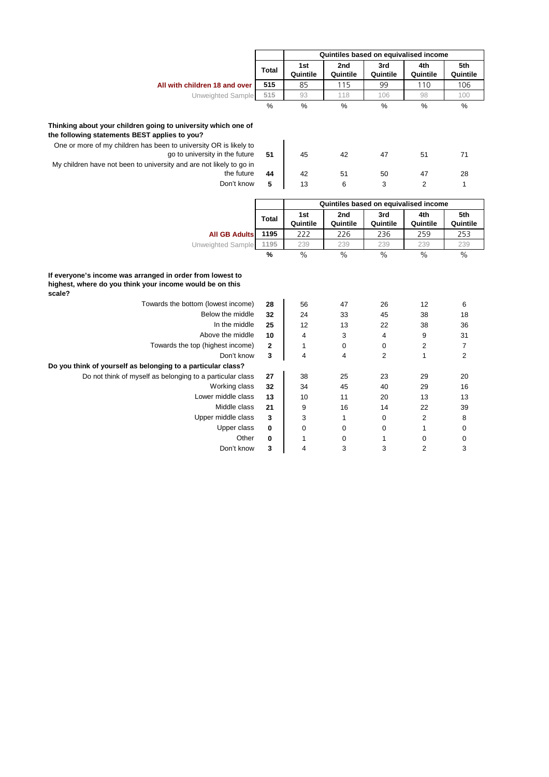|                               |       | Quintiles based on equivalised income |                 |                 |                 |                 |  |  |  |
|-------------------------------|-------|---------------------------------------|-----------------|-----------------|-----------------|-----------------|--|--|--|
|                               | Total | 1st<br>Quintile                       | 2nd<br>Quintile | 3rd<br>Quintile | 4th<br>Quintile | 5th<br>Quintile |  |  |  |
| All with children 18 and over | 515   | 85                                    | 115             | 99              | 110             | 106             |  |  |  |
| Unweighted Sample             | 515   | 93                                    | 118             | 106             | 98              | 100             |  |  |  |
|                               | %     | %                                     | $\%$            | $\%$            | %               | $\frac{0}{0}$   |  |  |  |

**Thinking about your children going to university which one of the following statements BEST applies to you?**

One or more of my children has been to university OR is likely to go to university in the future **51** 45 42 47 51 71

My children have not been to university and are not likely to go in the future **44**  $\begin{array}{|c|c|c|c|c|} \hline 42 & 51 & 50 & 47 & 28 \ \hline \end{array}$ 

Don't know **5** 13 6 3 2 1

| _ _ _ _ _ _ _ _ _ _ _ _ |       |                 |                                       |                 |                 |                 |  |  |  |  |  |  |
|-------------------------|-------|-----------------|---------------------------------------|-----------------|-----------------|-----------------|--|--|--|--|--|--|
|                         |       |                 | Quintiles based on equivalised income |                 |                 |                 |  |  |  |  |  |  |
|                         | Total | 1st<br>Quintile | 2nd<br>Quintile                       | 3rd<br>Quintile | 4th<br>Quintile | 5th<br>Quintile |  |  |  |  |  |  |
| <b>All GB Adults</b>    | 1195  | 222             | 226                                   | 236             | 259             | 253             |  |  |  |  |  |  |
| Unweighted Sample       | 1195  | 239             | 239                                   | 239             | 239             | 239             |  |  |  |  |  |  |

**%** % % % % %

**If everyone's income was arranged in order from lowest to highest, where do you think your income would be on this scale?**

| Towards the bottom (lowest income)                           | 28           | 56             | 47 | 26 | 12 | 6  |
|--------------------------------------------------------------|--------------|----------------|----|----|----|----|
| Below the middle                                             | 32           | 24             | 33 | 45 | 38 | 18 |
| In the middle                                                | 25           | 12             | 13 | 22 | 38 | 36 |
| Above the middle                                             | 10           | 4              | 3  | 4  | 9  | 31 |
| Towards the top (highest income)                             | $\mathbf{2}$ |                | 0  | 0  | 2  |    |
| Don't know                                                   | 3            | $\overline{4}$ | 4  | 2  |    | 2  |
| Do you think of yourself as belonging to a particular class? |              |                |    |    |    |    |
| Do not think of myself as belonging to a particular class    | 27           | 38             | 25 | 23 | 29 | 20 |
| Working class                                                | 32           | 34             | 45 | 40 | 29 | 16 |
| Lower middle class                                           | 13           | 10             | 11 | 20 | 13 | 13 |
| Middle class                                                 | 21           | 9              | 16 | 14 | 22 | 39 |
| Upper middle class                                           | 3            | 3              |    | 0  | 2  | 8  |
| Upper class                                                  | $\mathbf{0}$ | $\mathbf 0$    | 0  | 0  |    | 0  |
| Other                                                        | $\bf{0}$     |                | 0  |    | 0  | 0  |
| Don't know                                                   | 3            | 4              | 3  | 3  | 2  | 3  |
|                                                              |              |                |    |    |    |    |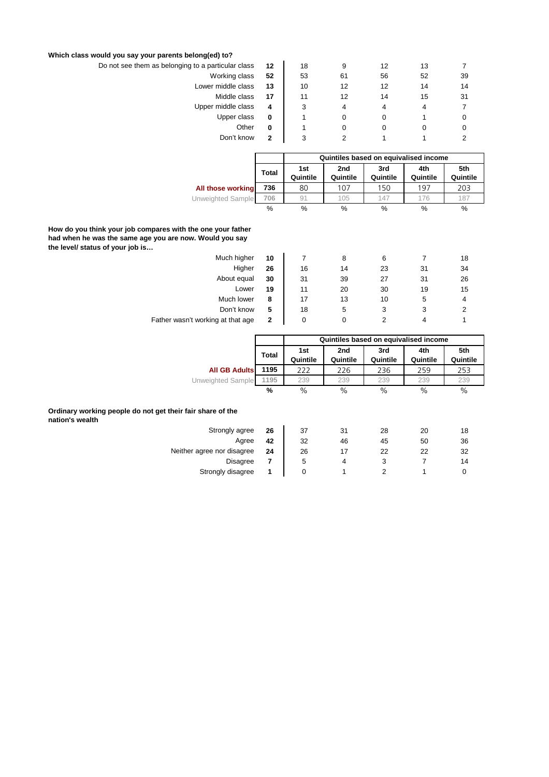## **Which class would you say your parents belong(ed) to?**

Do not see them as belonging

| to a particular class | 12 | 18 |    | 12 | 13 |    |
|-----------------------|----|----|----|----|----|----|
| Working class         | 52 | 53 | 61 | 56 | 52 | 39 |
| Lower middle class    | 13 | 10 | 12 | 12 | 14 | 14 |
| Middle class          |    | 11 | 12 | 14 | 15 | 31 |
| Upper middle class    | 4  |    |    |    |    |    |
| Upper class           | 0  |    |    |    |    |    |
| Other                 | 0  |    |    |    |    |    |
| Don't know            |    |    |    |    |    |    |

|                   |              | Quintiles based on equivalised income |                 |                 |                 |                 |  |  |  |
|-------------------|--------------|---------------------------------------|-----------------|-----------------|-----------------|-----------------|--|--|--|
|                   | <b>Total</b> | 1st<br>Quintile                       | 2nd<br>Quintile | 3rd<br>Quintile | 4th<br>Quintile | 5th<br>Quintile |  |  |  |
| All those working | 736          | 80                                    | 107             | 150             | 197             | 203             |  |  |  |
| Unweighted Sample | 706          | 91                                    | 105             | 147             | 176             | 187             |  |  |  |
|                   | %            | $\%$                                  | $\%$            | $\%$            | $\%$            | %               |  |  |  |

**How do you think your job compares with the one your father had when he was the same age you are now. Would you say the level/ status of your job is…**

| Much higher                       | 10 |    | 8  | 6  |    | 18 |
|-----------------------------------|----|----|----|----|----|----|
| Higher                            | 26 | 16 | 14 | 23 | 31 | 34 |
| About equal                       | 30 | 31 | 39 | 27 | 31 | 26 |
| Lower                             | 19 | 11 | 20 | 30 | 19 | 15 |
| Much lower                        | 8  | 17 | 13 | 10 | 5  | 4  |
| Don't know                        | 5  | 18 | 5  | 3  | 3  | 2  |
| Father wasn't working at that age |    | 0  |    | ົ  |    |    |

|                      |              | Quintiles based on equivalised income |          |          |          |          |  |  |  |
|----------------------|--------------|---------------------------------------|----------|----------|----------|----------|--|--|--|
|                      | <b>Total</b> | 1st                                   | 2nd      | 3rd      | 4th      | 5th      |  |  |  |
|                      |              | Quintile                              | Quintile | Quintile | Quintile | Quintile |  |  |  |
| <b>All GB Adults</b> | 1195         | 222                                   | 226      | 236      | 259      | 253      |  |  |  |
| Unweighted Sample    | 1195         | 239                                   | 239      | 239      | 239      | 239      |  |  |  |
|                      | %            | $\%$                                  | $\%$     | $\%$     | $\%$     | $\%$     |  |  |  |

**Ordinary working people do not get their fair share of the nation's wealth**

| Strongly agree             | 26 | 37 |    | 28 |    | 18 |
|----------------------------|----|----|----|----|----|----|
| Agree                      | 42 | 32 | 46 | 45 | 50 | 36 |
| Neither agree nor disagree | 24 | 26 |    |    |    | 32 |
| Disagree                   |    |    |    |    |    | 14 |
| Strongly disagree          |    |    |    |    |    |    |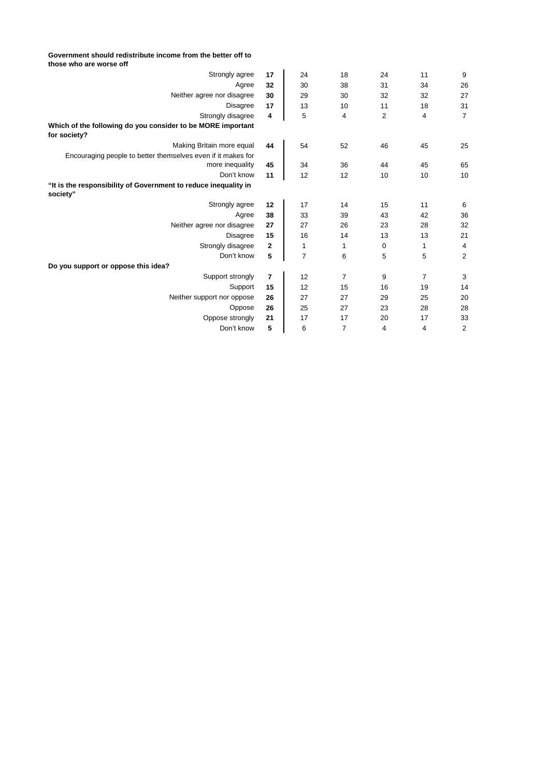**Government should redistribute income from the better off to those who are worse off**

| Strongly agree                                                              | 17 | 24             | 18             | 24 | 11 | 9              |
|-----------------------------------------------------------------------------|----|----------------|----------------|----|----|----------------|
| Agree                                                                       | 32 | 30             | 38             | 31 | 34 | 26             |
| Neither agree nor disagree                                                  | 30 | 29             | 30             | 32 | 32 | 27             |
| <b>Disagree</b>                                                             | 17 | 13             | 10             | 11 | 18 | 31             |
| Strongly disagree                                                           | 4  | 5              | 4              | 2  | 4  | $\overline{7}$ |
| Which of the following do you consider to be MORE important<br>for society? |    |                |                |    |    |                |
| Making Britain more equal                                                   | 44 | 54             | 52             | 46 | 45 | 25             |
| Encouraging people to better themselves even if it makes for                |    |                |                |    |    |                |
| more inequality                                                             | 45 | 34             | 36             | 44 | 45 | 65             |
| Don't know                                                                  | 11 | 12             | 12             | 10 | 10 | 10             |
| "It is the responsibility of Government to reduce inequality in<br>society" |    |                |                |    |    |                |
| Strongly agree                                                              | 12 | 17             | 14             | 15 | 11 | 6              |
| Agree                                                                       | 38 | 33             | 39             | 43 | 42 | 36             |
| Neither agree nor disagree                                                  | 27 | 27             | 26             | 23 | 28 | 32             |
| <b>Disagree</b>                                                             | 15 | 16             | 14             | 13 | 13 | 21             |
| Strongly disagree                                                           | 2  | 1              | 1              | 0  | 1  | 4              |
| Don't know                                                                  | 5  | $\overline{7}$ | 6              | 5  | 5  | 2              |
| Do you support or oppose this idea?                                         |    |                |                |    |    |                |
| Support strongly                                                            | 7  | 12             | $\overline{7}$ | 9  | 7  | 3              |
| Support                                                                     | 15 | 12             | 15             | 16 | 19 | 14             |
| Neither support nor oppose                                                  | 26 | 27             | 27             | 29 | 25 | 20             |
| Oppose                                                                      | 26 | 25             | 27             | 23 | 28 | 28             |
| Oppose strongly                                                             | 21 | 17             | 17             | 20 | 17 | 33             |
| Don't know                                                                  | 5  | 6              | 7              | 4  | 4  | 2              |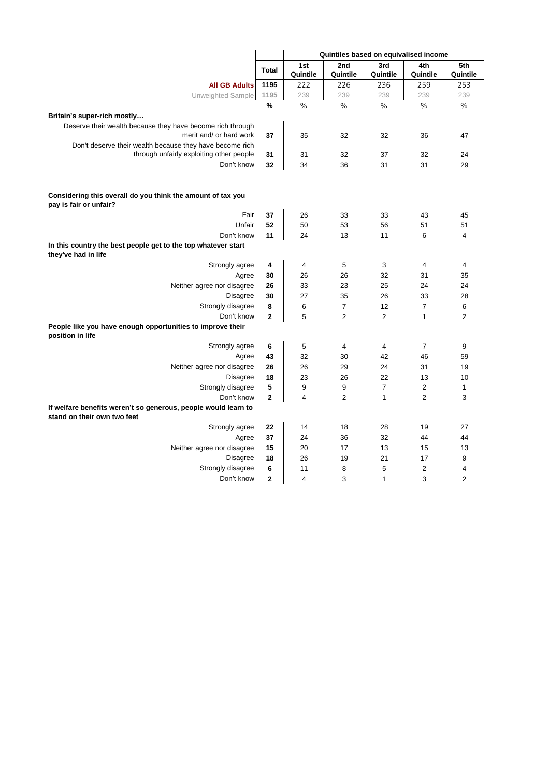|                                                                                               |                | Quintiles based on equivalised income |                  |                 |                 |                         |  |  |  |
|-----------------------------------------------------------------------------------------------|----------------|---------------------------------------|------------------|-----------------|-----------------|-------------------------|--|--|--|
|                                                                                               | <b>Total</b>   | 1st<br>Quintile                       | 2nd<br>Quintile  | 3rd<br>Quintile | 4th<br>Quintile | 5th<br>Quintile         |  |  |  |
| <b>All GB Adults</b>                                                                          | 1195           | 222                                   | 226              | 236             | 259             | 253                     |  |  |  |
| Unweighted Sample                                                                             | 1195           | 239                                   | 239              | 239             | 239             | 239                     |  |  |  |
|                                                                                               | $\frac{9}{6}$  | $\frac{0}{0}$                         | $\frac{0}{0}$    | $\frac{9}{6}$   | $\frac{0}{0}$   | $\frac{0}{0}$           |  |  |  |
| Britain's super-rich mostly                                                                   |                |                                       |                  |                 |                 |                         |  |  |  |
| Deserve their wealth because they have become rich through                                    |                |                                       |                  |                 |                 |                         |  |  |  |
| merit and/ or hard work                                                                       | 37             | 35                                    | 32               | 32              | 36              | 47                      |  |  |  |
| Don't deserve their wealth because they have become rich                                      |                |                                       |                  |                 |                 |                         |  |  |  |
| through unfairly exploiting other people                                                      | 31             | 31                                    | 32               | 37              | 32              | 24                      |  |  |  |
| Don't know                                                                                    | 32             | 34                                    | 36               | 31              | 31              | 29                      |  |  |  |
| Considering this overall do you think the amount of tax you<br>pay is fair or unfair?         |                |                                       |                  |                 |                 |                         |  |  |  |
| Fair                                                                                          | 37             | 26                                    | 33               | 33              | 43              | 45                      |  |  |  |
| Unfair                                                                                        | 52             | 50                                    | 53               | 56              | 51              | 51                      |  |  |  |
| Don't know                                                                                    | 11             | 24                                    | 13               | 11              | 6               | $\overline{\mathbf{4}}$ |  |  |  |
| In this country the best people get to the top whatever start<br>they've had in life          |                |                                       |                  |                 |                 |                         |  |  |  |
| Strongly agree                                                                                | 4              | 4                                     | 5                | 3               | $\overline{4}$  | $\overline{4}$          |  |  |  |
| Agree                                                                                         | 30             | 26                                    | 26               | 32              | 31              | 35                      |  |  |  |
| Neither agree nor disagree                                                                    | 26             | 33                                    | 23               | 25              | 24              | 24                      |  |  |  |
| <b>Disagree</b>                                                                               | 30             | 27                                    | 35               | 26              | 33              | 28                      |  |  |  |
| Strongly disagree                                                                             | 8              | 6                                     | $\boldsymbol{7}$ | 12              | $\overline{7}$  | 6                       |  |  |  |
| Don't know                                                                                    | $\overline{2}$ | 5                                     | $\overline{2}$   | 2               | 1               | $\overline{2}$          |  |  |  |
| People like you have enough opportunities to improve their<br>position in life                |                |                                       |                  |                 |                 |                         |  |  |  |
| Strongly agree                                                                                | 6              | 5                                     | 4                | 4               | $\overline{7}$  | 9                       |  |  |  |
| Agree                                                                                         | 43             | 32                                    | 30               | 42              | 46              | 59                      |  |  |  |
| Neither agree nor disagree                                                                    | 26             | 26                                    | 29               | 24              | 31              | 19                      |  |  |  |
| <b>Disagree</b>                                                                               | 18             | 23                                    | 26               | 22              | 13              | 10                      |  |  |  |
| Strongly disagree                                                                             | 5              | 9                                     | 9                | $\overline{7}$  | $\overline{2}$  | $\mathbf 1$             |  |  |  |
| Don't know                                                                                    | $\mathbf{2}$   | $\overline{4}$                        | $\overline{2}$   | $\mathbf{1}$    | $\overline{2}$  | 3                       |  |  |  |
| If welfare benefits weren't so generous, people would learn to<br>stand on their own two feet |                |                                       |                  |                 |                 |                         |  |  |  |
| Strongly agree                                                                                | 22             | 14                                    | 18               | 28              | 19              | 27                      |  |  |  |
| Agree                                                                                         | 37             | 24                                    | 36               | 32              | 44              | 44                      |  |  |  |
| Neither agree nor disagree                                                                    | 15             | 20                                    | 17               | 13              | 15              | 13                      |  |  |  |
| <b>Disagree</b>                                                                               | 18             | 26                                    | 19               | 21              | 17              | 9                       |  |  |  |
| Strongly disagree                                                                             | 6              | 11                                    | 8                | 5               | $\overline{2}$  | $\overline{4}$          |  |  |  |
| Don't know                                                                                    | $\mathbf{2}$   | 4                                     | 3                | $\mathbf{1}$    | 3               | $\overline{2}$          |  |  |  |